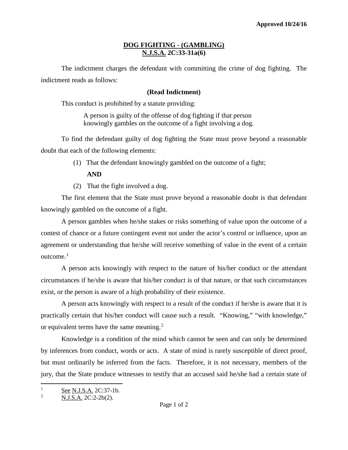## **DOG FIGHTING - (GAMBLING) N.J.S.A. 2C:33-31a(6)**

The indictment charges the defendant with committing the crime of dog fighting. The indictment reads as follows:

## **(Read Indictment)**

This conduct is prohibited by a statute providing:

A person is guilty of the offense of dog fighting if that person knowingly gambles on the outcome of a fight involving a dog.

To find the defendant guilty of dog fighting the State must prove beyond a reasonable doubt that each of the following elements:

(1) That the defendant knowingly gambled on the outcome of a fight;

## **AND**

(2) That the fight involved a dog.

The first element that the State must prove beyond a reasonable doubt is that defendant knowingly gambled on the outcome of a fight.

A person gambles when he/she stakes or risks something of value upon the outcome of a contest of chance or a future contingent event not under the actor's control or influence, upon an agreement or understanding that he/she will receive something of value in the event of a certain outcome.<sup>[1](#page-0-0)</sup>

A person acts knowingly with respect to the nature of his/her conduct or the attendant circumstances if he/she is aware that his/her conduct is of that nature, or that such circumstances exist, or the person is aware of a high probability of their existence.

A person acts knowingly with respect to a result of the conduct if he/she is aware that it is practically certain that his/her conduct will cause such a result. "Knowing," "with knowledge," or equivalent terms have the same meaning.<sup>[2](#page-0-1)</sup>

Knowledge is a condition of the mind which cannot be seen and can only be determined by inferences from conduct, words or acts. A state of mind is rarely susceptible of direct proof, but must ordinarily be inferred from the facts. Therefore, it is not necessary, members of the jury, that the State produce witnesses to testify that an accused said he/she had a certain state of

<span id="page-0-0"></span>l  $\frac{1}{2}$  See N.J.S.A. 2C:37-1b.

<span id="page-0-1"></span><sup>2</sup> N.J.S.A. 2C:2-2b(2).